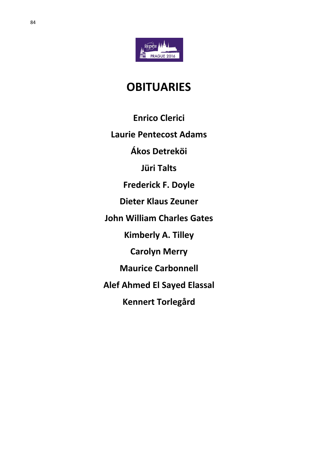

# **OBITUARIES**

**Enrico Clerici** 

**Laurie Pentecost Adams**

**Ákos Detreköi**

**Jüri Talts**

**Frederick F. Doyle**

**Dieter Klaus Zeuner**

**John William Charles Gates**

**Kimberly A. Tilley**

**Carolyn Merry**

**Maurice Carbonnell**

**Alef Ahmed El Sayed Elassal**

**Kennert Torlegård**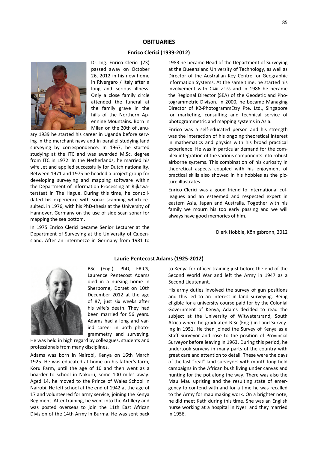# **OBITUARIES**

## **Enrico Clerici (1939-2012)**

**Laurie Pentecost Adams (1925-2012)**



Dr.-Ing. Enrico Clerici (73) passed away on October 26, 2012 in his new home in Rivergaro / Italy after a long and serious illness. Only a close family circle attended the funeral at the family grave in the hills of the Northern Apennine Mountains. Born in Milan on the 20th of Janu-

ary 1939 he started his career in Uganda before serving in the merchant navy and in parallel studying land surveying by correspondence. In 1967, he started studying at the ITC and was awarded M.Sc. degree from ITC in 1972. In the Netherlands, he married his wife Jet and applied successfully for Dutch nationality. Between 1971 and 1975 he headed a project group for developing surveying and mapping software within the Department of Information Processing at Rijkswaterstaat in The Hague. During this time, he consolidated his experience with sonar scanning which resulted, in 1976, with his PhD-thesis at the University of Hannover, Germany on the use of side scan sonar for mapping the sea bottom.

In 1975 Enrico Clerici became Senior Lecturer at the Department of Surveying at the University of Queensland. After an intermezzo in Germany from 1981 to

1983 he became Head of the Department of Surveying at the Queensland University of Technology, as well as Director of the Australian Key Centre for Geographic Information Systems. At the same time, he started his involvement with CARL ZEISS and in 1986 he became the Regional Director (SEA) of the Geodetic and Photogrammetric Divison. In 2000, he became Managing Director of K2-PhotogrammEtry Pte. Ltd., Singapore for marketing, consulting and technical service of photogrammetric and mapping systems in Asia.

Enrico was a self-educated person and his strength was the interaction of his ongoing theoretical interest in mathematics and physics with his broad practical experience. He was in particular demand for the complex integration of the various components into robust airborne systems. This combination of his curiosity in theoretical aspects coupled with his enjoyment of practical skills also showed in his hobbies as the picture illustrates.

Enrico Clerici was a good friend to international colleagues and an esteemed and respected expert in eastern Asia, Japan and Australia. Together with his family we mourn his too early passing and we will always have good memories of him.

Dierk Hobbie, Königsbronn, 2012



BSc (Eng.), PhD, FRICS, Laurence Pentecost Adams died in a nursing home in Sherborne, Dorset on 10th December 2012 at the age of 87, just six weeks after his wife's death. They had been married for 56 years. Adams had a long and varied career in both photogrammetry and surveying.

He was held in high regard by colleagues, students and professionals from many disciplines.

Adams was born in Nairobi, Kenya on 16th March 1925. He was educated at home on his father's farm, Koru Farm, until the age of 10 and then went as a boarder to school in Nakuru, some 100 miles away. Aged 14, he moved to the Prince of Wales School in Nairobi. He left school at the end of 1942 at the age of 17 and volunteered for army service, joining the Kenya Regiment. After training, he went into the Artillery and was posted overseas to join the 11th East African Division of the 14th Army in Burma. He was sent back

to Kenya for officer training just before the end of the Second World War and left the Army in 1947 as a Second Lieutenant.

His army duties involved the survey of gun positions and this led to an interest in land surveying. Being eligible for a university course paid for by the Colonial Government of Kenya, Adams decided to read the subject at the University of Witwatersrand, South Africa where he graduated B.Sc.(Eng.) in Land Surveying in 1951. He then joined the Survey of Kenya as a Staff Surveyor and rose to the position of Provincial Surveyor before leaving in 1963. During this period, he undertook surveys in many parts of the country with great care and attention to detail. These were the days of the last "real" land surveyors with month long field campaigns in the African bush living under canvas and hunting for the pot along the way. There was also the Mau Mau uprising and the resulting state of emergency to contend with and for a time he was recalled to the Army for map making work. On a brighter note, he did meet Kath during this time. She was an English nurse working at a hospital in Nyeri and they married in 1956.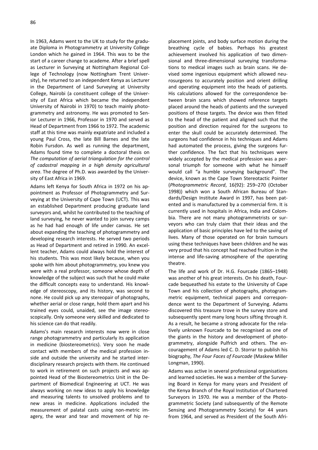In 1963, Adams went to the UK to study for the graduate Diploma in Photogrammetry at University College London which he gained in 1964. This was to be the start of a career change to academe. After a brief spell as Lecturer in Surveying at Nottingham Regional College of Technology (now Nottingham Trent University), he returned to an independent Kenya as Lecturer in the Department of Land Surveying at University College, Nairobi (a constituent college of the University of East Africa which became the independent University of Nairobi in 1970) to teach mainly photogrammetry and astronomy. He was promoted to Senior Lecturer in 1966, Professor in 1970 and served as Head of Department from 1966 to 1972. The academic staff at this time was mainly expatriate and included a young Paul Cross, the late Bill Barnes and the late Robin Fursdon. As well as running the department, Adams found time to complete a doctoral thesis on *The computation of aerial triangulation for the control of cadastral mapping in a high density agricultural* 

*area*. The degree of Ph.D. was awarded by the Univer-

sity of East Africa in 1969.

Adams left Kenya for South Africa in 1972 on his appointment as Professor of Photogrammetry and Surveying at the University of Cape Town (UCT). This was an established Department producing graduate land surveyors and, whilst he contributed to the teaching of land surveying, he never wanted to join survey camps as he had had enough of life under canvas. He set about expanding the teaching of photogrammetry and developing research interests. He served two periods as Head of Department and retired in 1990. An excellent teacher, Adams could always hold the interest of his students. This was most likely because, when you spoke with him about photogrammetry, you knew you were with a real professor, someone whose depth of knowledge of the subject was such that he could make the difficult concepts easy to understand. His knowledge of stereoscopy, and its history, was second to none. He could pick up any stereopair of photographs, whether aerial or close range, hold them apart and his trained eyes could, unaided, see the image stereoscopically. Only someone very skilled and dedicated to his science can do that readily.

Adams's main research interests now were in close range photogrammetry and particularly its application in medicine (biostereometrics). Very soon he made contact with members of the medical profession inside and outside the university and he started interdisciplinary research projects with them. He continued to work in retirement on such projects and was appointed Head of the Biostereometrics Unit in the Department of Biomedical Engineering at UCT. He was always working on new ideas to apply his knowledge and measuring talents to unsolved problems and to new areas in medicine. Applications included the measurement of palatal casts using non-metric imagery, the wear and tear and movement of hip re-

placement joints, and body surface motion during the breathing cycle of babies. Perhaps his greatest achievement involved his application of two dimensional and three-dimensional surveying transformations to medical images such as brain scans. He devised some ingenious equipment which allowed neurosurgeons to accurately position and orient drilling and operating equipment into the heads of patients. His calculations allowed for the correspondence between brain scans which showed reference targets placed around the heads of patients and the surveyed positions of those targets. The device was then fitted to the head of the patient and aligned such that the position and direction required for the surgeons to enter the skull could be accurately determined. The surgeons had confidence in his techniques and Adams had automated the process, giving the surgeons further confidence. The fact that his techniques were widely accepted by the medical profession was a personal triumph for someone with what he himself would call "a humble surveying background". The device, known as the Cape Town Stereotactic Pointer (*Photogrammetric Record*, 16(92): 259–270 (October 1998)) which won a South African Bureau of Standards/Design Institute Award in 1997, has been patented and is manufactured by a commercial firm. It is currently used in hospitals in Africa, India and Colombia. There are not many photogrammetrists or surveyors who can truly claim that their ideas and the application of basic principles have led to the saving of lives. Many of those operated on for brain tumours using these techniques have been children and he was very proud that his concept had reached fruition in the intense and life-saving atmosphere of the operating theatre.

The life and work of Dr. H.G. Fourcade (1865–1948) was another of his great interests. On his death, Fourcade bequeathed his estate to the University of Cape Town and his collection of photographs, photogrammetric equipment, technical papers and correspondence went to the Department of Surveying. Adams discovered this treasure trove in the survey store and subsequently spent many long hours sifting through it. As a result, he became a strong advocate for the relatively unknown Fourcade to be recognised as one of the giants in the history and development of photogrammetry, alongside Pulfrich and others. The encouragement of Adams led C. D. Storrar to publish his biography, *The Four Faces of Fourcade* (Maskew Miller Longman, 1990).

Adams was active in several professional organisations and learned societies. He was a member of the Surveying Board in Kenya for many years and President of the Kenya Branch of the Royal Institution of Chartered Surveyors in 1970. He was a member of the Photogrammetric Society (and subsequently of the Remote Sensing and Photogrammetry Society) for 44 years from 1964, and served as President of the South Afri-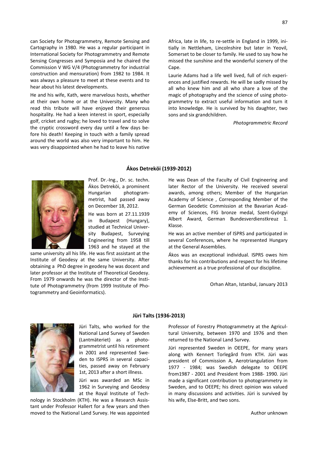can Society for Photogrammetry, Remote Sensing and Cartography in 1980. He was a regular participant in International Society for Photogrammetry and Remote Sensing Congresses and Symposia and he chaired the Commission V WG V/4 (Photogrammetry for industrial construction and mensuration) from 1982 to 1984. It was always a pleasure to meet at these events and to hear about his latest developments.

He and his wife, Kath, were marvelous hosts, whether at their own home or at the University. Many who read this tribute will have enjoyed their generous hospitality. He had a keen interest in sport, especially golf, cricket and rugby; he loved to travel and to solve the cryptic crossword every day until a few days before his death! Keeping in touch with a family spread around the world was also very important to him. He was very disappointed when he had to leave his native

Africa, late in life, to re-settle in England in 1999, initially in Nettleham, Lincolnshire but later in Yeovil, Somerset to be closer to family. He used to say how he missed the sunshine and the wonderful scenery of the Cape.

Laurie Adams had a life well lived, full of rich experiences and justified rewards. He will be sadly missed by all who knew him and all who share a love of the magic of photography and the science of using photogrammetry to extract useful information and turn it into knowledge. He is survived by his daughter, two sons and six grandchildren.

*Photogrammetric Record*

# **Ákos Detreköi (1939-2012)**



Prof. Dr.-Ing., Dr. sc. techn. Ákos Detreköi, a prominent Hungarian photogrammetrist, had passed away on December 18, 2012.

He was born at 27.11.1939 in Budapest (Hungary), studied at Technical University Budapest, Surveying Engineering from 1958 till 1963 and he stayed at the

same university all his life. He was first assistant at the Institute of Geodesy at the same University. After obtaining a PhD degree in geodesy he was docent and later professor at the Institute of Theoretical Geodesy. From 1979 onwards he was the director of the Institute of Photogrammetry (from 1999 Institute of Photogrammetry and Geoinformatics).

He was Dean of the Faculty of Civil Engineering and later Rector of the University. He received several awards, among others; Member of the Hungarian Academy of Science , Corresponding Member of the German Geodetic Commission at the Bavarian Academy of Sciences, FIG bronze medal, Szent-Györgyi Albert Award, German Bundesverdienstkreuz 1. Klasse.

He was an active member of ISPRS and participated in several Conferences, where he represented Hungary at the General Assemblies.

Ákos was an exceptional individual. ISPRS owes him thanks for his contributions and respect for his lifetime achievement as a true professional of our discipline.

Orhan Altan, Istanbul, January 2013



Jüri Talts, who worked for the National Land Survey of Sweden (Lantmäteriet) as a photogrammetrist until his retirement in 2001 and represented Sweden to ISPRS in several capacities, passed away on February 1st, 2013 after a short illness.

Jüri was awarded an MSc in 1962 in Surveying and Geodesy at the Royal Institute of Tech-

nology in Stockholm (KTH). He was a Research Assistant under Professor Hallert for a few years and then moved to the National Land Survey. He was appointed

#### **Jüri Talts (1936-2013)**

Professor of Forestry Photogrammetry at the Agricultural University, between 1970 and 1976 and then returned to the National Land Survey.

Jüri represented Sweden in OEEPE, for many years along with Kennert Torlegård from KTH. Jüri was president of Commission A, Aerotriangulation from 1977 - 1984; was Swedish delegate to OEEPE from1987 - 2001 and President from 1988- 1990. Jüri made a significant contribution to photogrammetry in Sweden, and to OEEPE; his direct opinion was valued in many discussions and activities. Jüri is survived by his wife, Else-Britt, and two sons.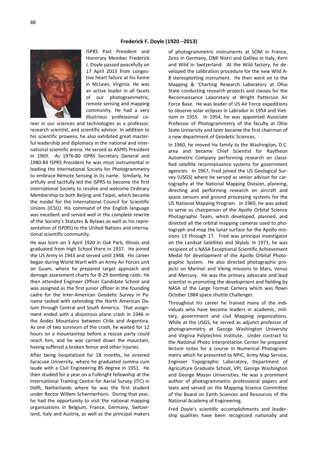

ISPRS Past President and Honorary Member Frederick J. Doyle passed peacefully on 17 April 2013 from congestive heart failure at his home in McLean, Virginia. He was an active leader in all facets of our photogrammetric, remote sensing and mapping community. He had a very illustrious professional ca-

reer in our sciences and technologies as a professor, research scientist, and scientific advisor. In addition to his scientific prowess, he also exhibited great masterful leadership and diplomacy in the national and international scientific arena. He served as ASPRS President in 1969. As 1976-80 ISPRS Secretary General and 1980-84 ISPRS President he was most instrumental in leading the International Society for Photogrammetry to embrace Remote Sensing in its name. Similarly, he artfully and tactfully led the ISPRS to become the first international Society to resolve and welcome Ordinary Membership to both Beijing and Taipei, which became the model for the International Council for Scientific Unions (ICSU). His command of the English language was excellent and served well in the complete rewrite of the Society's Statutes & Bylaws as well as his representation of ISP(RS) to the United Nations and international scientific community.

He was born on 3 April 1920 in Oak Park, Illinois and graduated from High School there in 1937. He joined the US Army in 1943 and served until 1948. His career began during World WarII with an Army Air Forces unit on Guam, where he prepared target approach and damage assessment charts for B-29 bombing raids. He then attended Engineer Officer Candidate School and was assigned as the first junior officer in the founding cadre for the Inter-American Geodetic Survey in Panama tasked with extending the North American Datum through Central and South America. That assignment ended with a disastrous plane crash in 1946 in the Andes Mountains between Chile and Argentina. As one of two survivors of the crash, he waited for 12 hours on a mountaintop before a rescue party could reach him, and he was carried down the mountain, having suffered a broken femur and other injuries.

After being hospitalized for 18 months, he entered Syracuse University, where he graduated summa cum laude with a Civil Engineering BS degree in 1951. He then studied for a year on a Fulbright fellowship at the International Training Centre for Aerial Survey (ITC) in Delft, Netherlands where he was the first student under Rector Willem Schermerhorn. During that year, he had the opportunity to visit the national mapping organizations in Belgium, France, Germany, Switzerland, Italy and Austria, as well as the principal makers

of photogrammetric instruments at SOM in France, Zeiss in Germany, OMI Nistri and Galileo in Italy, Kern and Wild in Switzerland. At the Wild factory, he developed the calibration procedure for the new Wild A-8 stereoplotting instrument. He then went on to the Mapping & 'Charting Research Laboratory at Ohio State conducting research projects and classes for the Reconnaissance Laboratory at Wright Patterson Air Force Base. He was leader of US Air Force expeditions to observe solar eclipses in Labrador in 1954 and Vietnam in 1955. In 1954, he was appointed Associate Professor of Photogrammetry of the faculty at Ohio State University and later became the first chairman of a new department of Geodetic Sciences.

In 1960, he moved his family to the Washington, D.C. area and became Chief Scientist for Raytheon Autometric Company performing research on classified satellite reconnaissance systems for government agencies. In 1967, Fred joined the US Geological Survey (USGS) where he served as senior advisor for cartography at the National Mapping Division, planning, directing and performing research on aircraft and space sensors and ground processing systems for the US National Mapping Program. In 1969, he was asked to serve as chairperson of the Apollo Orbital Science Photographic Team, which developed, planned, and directed all the orbital mapping cameras used to photograph and map the lunar surface for the Apollo missions 13 through 17. Fred was principal investigator on the Landsat Satellites and Skylab. In 1971, he was recipient of a NASA Exceptional Scientific Achievement Medal for development of the Apollo Orbital Photographic System. He also directed photographic projects on Mariner and Viking missions to Mars, Venus and Mercury. He was the primary advocate and lead scientist in promoting the development and fielding by NASA of the Large Format Camera which was flown October 1984 space shuttle Challenger.

Throughout his career he trained many of the individuals who have become leaders in academic, military, government and civil Mapping organizations. While at the USGS, he served as adjunct professor of photogrammetry at George Washington University and Virginia Polytechnic Institute. Under contract to the National Photo Interpretation Center he prepared lecture notes for a course in Numerical Photogrammetry which he presented to NPIC, Army Map Service, Engineer Topographic Laboratory, Department of Agriculture Graduate School, VPI, George Washington and George Mason Universities. He was a prominent author of photogrammetric professional papers and texts and served on the Mapping Science Committee of the Board on Earth Sciences and Resources of the National Academy of Engineering.

Fred Doyle's scientific accomplishments and leadership qualities have been recognized nationally and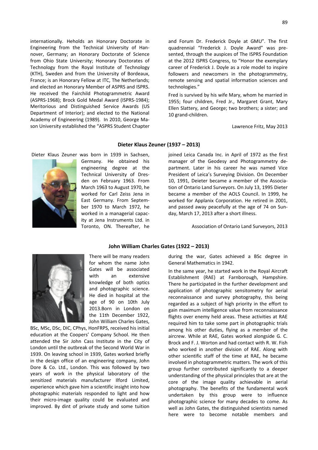89

internationally. Heholds an Honorary Doctorate in Engineering from the Technical University of Hannover, Germany; an Honorary Doctorate of Science from Ohio State University; Honorary Doctorates of Technology from the Royal Institute of Technology (KTH), Sweden and from the University of Bordeaux, France; is an Honorary Fellow at ITC, The Netherlands; and elected an Honorary Member of ASPRS and ISPRS. He received the Fairchild Photogrammetric Award (ASPRS-1968); Brock Gold Medal Award (ISPRS-1984); Meritorious and Distinguished Service Awards (US Department of Interior); and elected to the National Academy of Engineering (1989). In 2010, George Mason University established the "ASPRS Student Chapter

Dieter Klaus Zeuner was born in 1939 in Sachsen,

and Forum Dr. Frederick Doyle at GMU". The first quadrennial "Frederick J. Doyle Award" was presented, through the auspices of The ISPRS Foundation at the 2012 ISPRS Congress, to "Honor the exemplary career of Frederick J. Doyle as a role model to inspire followers and newcomers in the photogrammetry, remote sensing and spatial information sciences and technologies."

Fred is survived by his wife Mary, whom he married in 1955; four children, Fred Jr., Margaret Grant, Mary Ellen Slattery, and George; two brothers; a sister; and 10 grand-children.

Lawrence Fritz, May 2013

### **Dieter Klaus Zeuner (1937 – 2013)**

**John William Charles Gates (1922 – 2013)**

joined Leica Canada Inc. in April of 1972 as the first manager of the Geodesy and Photogrammetry department. Later in his career he was named Vice President of Leica's Surveying Division. On December 10, 1991, Deieter became a member of the Association of Ontario Land Surveyors. On July 13, 1995 Dieter became a member of the AOLS Council. In 1999, he worked for Applanix Corporation. He retired in 2001, and passed away peacefully at the age of 74 on Sunday, March 17, 2013 after a short illness.

Association of Ontario Land Surveyors, 2013



There will be many readers for whom the name John Gates will be associated with an extensive knowledge of both optics and photographic science. He died in hospital at the age of 90 on 10th July 2013.Born in London on the 11th December 1922, John William Charles Gates,

BSc, MSc, DSc, DIC, CPhys, HonFRPS, received his initial education at the Coopers' Company School. He then attended the Sir John Cass Institute in the City of London until the outbreak of the Second World War in 1939. On leaving school in 1939, Gates worked briefly in the design office of an engineering company, John Dore & Co. Ltd., London. This was followed by two years of work in the physical laboratory of the sensitized materials manufacturer Ilford Limited, experience which gave him a scientific insight into how photographic materials responded to light and how their micro-image quality could be evaluated and improved. By dint of private study and some tuition

during the war, Gates achieved a BSc degree in General Mathematics in 1942.

In the same year, he started work in the Royal Aircraft Establishment (RAE) at Farnborough, Hampshire. There he participated in the further development and application of photographic sensitometry for aerial reconnaissance and survey photography, this being regarded as a subject of high priority in the effort to gain maximum intelligence value from reconnaissance flights over enemy held areas. These activities at RAE required him to take some part in photographic trials among his other duties, flying as a member of the aircrew. While at RAE, Gates worked alongside G. C. Brock and F. J. Worton and had contact with R. W. Fish who worked in another division of RAE. Along with other scientific staff of the time at RAE, he became involved in photogrammetric matters. The work of this group further contributed significantly to a deeper understanding of the physical principles that are at the core of the image quality achievable in aerial photography. The benefits of the fundamental work undertaken by this group were to influence photographic science for many decades to come. As well as John Gates, the distinguished scientists named here were to become notable members and

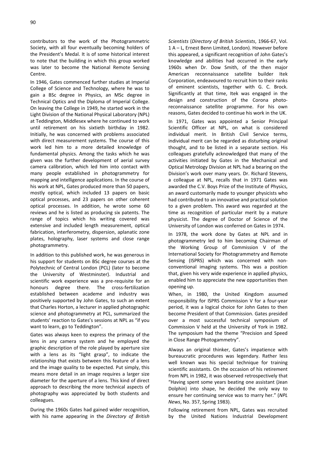contributors to the work of the Photogrammetric Society, with all four eventually becoming holders of the President's Medal. It is of some historical interest to note that the building in which this group worked was later to become the National Remote Sensing Centre.

In 1946, Gates commenced further studies at Imperial College of Science and Technology, where he was to gain a BSc degree in Physics, an MSc degree in Technical Optics and the Diploma of Imperial College. On leaving the College in 1949, he started work in the Light Division of the National Physical Laboratory (NPL) at Teddington, Middlesex where he continued to work until retirement on his sixtieth birthday in 1982. Initially, he was concerned with problems associated with direct measurement systems. The course of this work led him to a more detailed knowledge of fundamental physics. Among the tasks which he was given was the further development of aerial survey camera calibration, which led him into contact with many people established in photogrammetry for mapping and intelligence applications. In the course of his work at NPL, Gates produced more than 50 papers, mostly optical, which included 13 papers on basic optical processes, and 23 papers on other coherent optical processes. In addition, he wrote some 60 reviews and he is listed as producing six patents. The range of topics which his writing covered was extensive and included length measurement, optical fabrication, interferometry, dispersion, aplanatic zone plates, holography, laser systems and close range photogrammetry.

In addition to this published work, he was generous in his support for students on BSc degree courses at the Polytechnic of Central London (PCL) (later to become the University of Westminster). Industrial and scientific work experience was a pre-requisite for an honours degree there. The cross-fertilization established between academe and industry was positively supported by John Gates, to such an extent that Charles Horton, a lecturer in applied photographic science and photogrammetry at PCL, summarized the students' reaction to Gates's sessions at NPL as "if you want to learn, go to Teddington".

Gates was always keen to express the primacy of the lens in any camera system and he employed the graphic description of the role played by aperture size with a lens as its "light grasp", to indicate the relationship that exists between this feature of a lens and the image quality to be expected. Put simply, this means more detail in an image requires a larger size diameter for the aperture of a lens. This kind of direct approach to describing the more technical aspects of photography was appreciated by both students and colleagues.

During the 1960s Gates had gained wider recognition, with his name appearing in the *Directory of British*

*Scientists* (*Directory of British Scientists*, 1966-67, Vol. 1 A – L, Ernest Benn Limited, London). However before this appeared, a significant recognition of John Gates's knowledge and abilities had occurred in the early 1960s when Dr. Dow Smith, of the then major American reconnaissance satellite builder Itek Corporation, endeavoured to recruit him to their ranks of eminent scientists, together with G. C. Brock. Significantly at that time, Itek was engaged in the design and construction of the Corona photoreconnaissance satellite programme. For his own reasons, Gates decided to continue his work in the UK.

In 1971, Gates was appointed a Senior Principal Scientific Officer at NPL, on what is considered individual merit. In British Civil Service terms, individual merit can be regarded as disturbing original thought, and to be listed in a separate section. His colleagues gratefully acknowledged that many of the activities initiated by Gates in the Mechanical and Optical Metrology Division at NPL had a bearing on the Division's work over many years. Dr. Richard Stevens, a colleague at NPL, recalls that in 1971 Gates was awarded the C.V. Boys Prize of the Institute of Physics, an award customarily made to younger physicists who had contributed to an innovative and practical solution to a given problem. This award was regarded at the time as recognition of particular merit by a mature physicist. The degree of Doctor of Science of the University of London was conferred on Gates in 1974.

In 1978, the work done by Gates at NPL and in photogrammetry led to him becoming Chairman of the Working Group of Commission V of the International Society for Photogrammetry and Remote Sensing (ISPRS) which was concerned with nonconventional imaging systems. This was a position that, given his very wide experience in applied physics, enabled him to appreciate the new opportunities then opening up.

When, in 1980, the United Kingdom assumed responsibility for ISPRS Commission V for a four-year period, it was a logical choice for John Gates to then become President of that Commission. Gates presided over a most successful technical symposium of Commission V held at the University of York in 1982. The symposium had the theme "Precision and Speed in Close Range Photogammetry".

Always an original thinker, Gates's impatience with bureaucratic procedures was legendary. Rather less well known was his special technique for training scientific assistants. On the occasion of his retirement from NPL in 1982, it was observed retrospectively that "Having spent some years beating one assistant (Jean Dolphin) into shape, he decided the only way to ensure her continuing service was to marry her." (*NPL News*, No. 357, Spring 1983).

Following retirement from NPL, Gates was recruited by the United Nations Industrial Development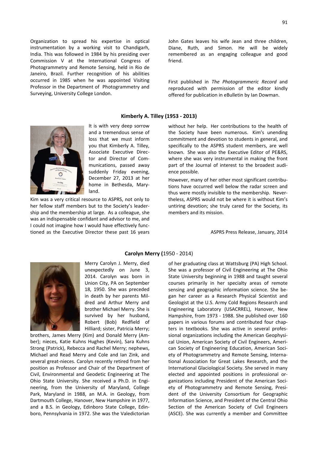Organization to spread his expertise in optical instrumentation by a working visit to Chandigarh, India. This was followed in 1984 by his presiding over Commission V at the International Congress of Photogrammetry and Remote Sensing, held in Rio de Janeiro, Brazil. Further recognition of his abilities occurred in 1985 when he was appointed Visiting Professor in the Department of Photogrammetry and Surveying, University College London.

**Kimberly A. Tilley (1953 - 2013)**

without her help. Her contributions to the health of the Society have been numerous. Kim's unending commitment and devotion to students in general, and specifically to the ASPRS student members, are well known. She was also the Executive Editor of PE&RS, where she was very instrumental in making the front part of the Journal of interest to the broadest audience possible.

However, many of her other most significant contributions have occurred well below the radar screen and thus were mostly invisible to the membership. Nevertheless, ASPRS would not be where it is without Kim's untiring devotion; she truly cared for the Society, its members and its mission.

ASPRS Press Release, January, 2014



Merry Carolyn J. Merry, died unexpectedly on June 3, 2014. Carolyn was born in Union City, PA on September 18, 1950. She was preceded in death by her parents Mildred and Arthur Merry and brother Michael Merry. She is survived by her husband, Robert (Bob) Redfield of Hilliard; sister, Patricia Merry;

brothers, James Merry (Kim) and Donald Merry (Amber); nieces, Katie Kuhns Hughes (Kevin), Sara Kuhns Strong (Patrick), Rebecca and Rachel Merry; nephews, Michael and Read Merry and Cole and Ian Zink, and several great-nieces. Carolyn recently retired from her position as Professor and Chair of the Department of Civil, Environmental and Geodetic Engineering at The Ohio State University. She received a Ph.D. in Engineering, from the University of Maryland, College Park, Maryland in 1988, an M.A. in Geology, from Dartmouth College, Hanover, New Hampshire in 1977, and a B.S. in Geology, Edinboro State College, Edinboro, Pennsylvania in 1972. She was the Valedictorian

#### **Carolyn Merry (**1950 - 2014)

of her graduating class at Wattsburg (PA) High School. She was a professor of Civil Engineering at The Ohio State University beginning in 1988 and taught several courses primarily in her specialty areas of remote sensing and geographic information science. She began her career as a Research Physical Scientist and Geologist at the U.S. Army Cold Regions Research and Engineering Laboratory (USACRREL), Hanover, New Hampshire, from 1973 - 1988. She published over 160 papers in various forums and contributed four chapters in textbooks. She was active in several professional organizations including the American Geophysical Union, American Society of Civil Engineers, American Society of Engineering Education, American Society of Photogrammetry and Remote Sensing, International Association for Great Lakes Research, and the International Glaciological Society. She served in many elected and appointed positions in professional organizations including President of the American Society of Photogrammetry and Remote Sensing, President of the University Consortium for Geographic Information Science, and President of the Central Ohio Section of the American Society of Civil Engineers (ASCE). She was currently a member and Committee



It is with very deep sorrow and a tremendous sense of loss that we must inform you that Kimberly A. Tilley, Associate Executive Director and Director of Communications, passed away suddenly Friday evening, December 27, 2013 at her home in Bethesda, Maryland.

Kim was a very critical resource to ASPRS, not only to her fellow staff members but to the Society's leadership and the membership at large. As a colleague, she was an indispensable confidant and advisor to me, and I could not imagine how I would have effectively functioned as the Executive Director these past 16 years

# John Gates leaves his wife Jean and three children, Diane, Ruth, and Simon. He will be widely remembered as an engaging colleague and good friend.

First published in *The Photogrammeric Record* and reproduced with permission of the editor kindly offered for publication in eBulletin by Ian Dowman.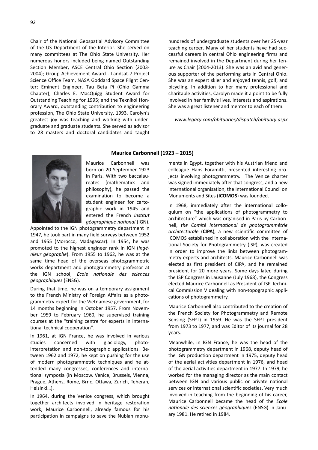Chair of the National Geospatial Advisory Committee of the US Department of the Interior. She served on many committees at The Ohio State University. Her numerous honors included being named Outstanding Section Member, ASCE Central Ohio Section (2003- 2004); Group Achievement Award - Landsat-7 Project Science Office Team, NASA Goddard Space Flight Center; Eminent Engineer, Tau Beta Pi (Ohio Gamma Chapter); Charles E. MacQuigg Student Award for Outstanding Teaching for 1995; and the Texnikoi Honorary Award, outstanding contribution to engineering profession, The Ohio State University, 1993. Carolyn's greatest joy was teaching and working with undergraduate and graduate students. She served as advisor to 28 masters and doctoral candidates and taught

hundreds of undergraduate students over her 25-year teaching career. Many of her students have had successful careers in central Ohio engineering firms and remained involved in the Department during her tenure as Chair (2004-2013). She was an avid and generous supporter of the performing arts in Central Ohio. She was an expert skier and enjoyed tennis, golf, and bicycling. In addition to her many professional and charitable activities, Carolyn made it a point to be fully involved in her family's lives, interests and aspirations. She was a great listener and mentor to each of them.

#### *www.legacy.com/obituaries/dispatch/obituary.aspx*



Maurice Carbonnell was born on 20 September 1923 in Paris. With two baccalaureates (mathematics and philosophy), he passed the examination to become a student engineer for cartographic work in 1945 and entered the French *Institut géographique national* (IGN).

 **Maurice Carbonnell (1923 – 2015)**

Appointed to the IGN photogrammetry department in 1947, he took part in many field surveys between 1952 and 1955 (Morocco, Madagascar). In 1954, he was promoted to the highest engineer rank in IGN (*ingénieur géographe*). From 1955 to 1962, he was at the same time head of the overseas photogrammetric works department and photogrammetry professor at the IGN school, *Ecole nationale des sciences géographiques* (ENSG).

During that time, he was on a temporary assignment to the French Ministry of Foreign Affairs as a photogrammetry expert for the Vietnamese government, for 14 months beginning in October 1957. From November 1959 to February 1960, he supervised training courses at the "training centre for experts in international technical cooperation".

In 1961, at IGN France, he was involved in various studies concerned with glaciology, photointerpretation and non-topographic applications. Between 1962 and 1972, he kept on pushing for the use of modern photogrammetric techniques and he attended many congresses, conferences and international symposia (in Moscow, Venice, Brussels, Vienna, Prague, Athens, Rome, Brno, Ottawa, Zurich, Teheran, Helsinki…).

In 1964, during the Venice congress, which brought together architects involved in heritage restoration work, Maurice Carbonnell, already famous for his participation in campaigns to save the Nubian monu-

ments in Egypt, together with his Austrian friend and colleague Hans Foramitti, presented interesting projects involving photogrammetry. The Venice charter was signed immediately after that congress, and a new international organisation, the International Council on Monuments and Sites (**ICOMOS**) was founded.

In 1968, immediately after the international colloquium on "the applications of photogrammetry to architecture" which was organised in Paris by Carbonnell, *the Comité international de photogrammétrie architecturale* (**CIPA**), a new scientific committee of ICOMOS established in collaboration with the International Society for Photogrammetry (ISP), was created in order to improve the links between photogrammetry experts and architects. Maurice Carbonnell was elected as first president of CIPA, and he remained president for 20 more years. Some days later, during the ISP Congress in Lausanne (July 1968), the Congress elected Maurice Carbonnell as President of ISP Technical Commission V dealing with non-topographic applications of photogrammetry.

Maurice Carbonnell also contributed to the creation of the French Society for Photogrammetry and Remote Sensing (SFPT) in 1959. He was the SFPT president from 1973 to 1977, and was Editor of its journal for 28 years.

Meanwhile, in IGN France, he was the head of the photogrammetry department in 1968, deputy head of the IGN production department in 1975, deputy head of the aerial activities department in 1976, and head of the aerial activities department in 1977. In 1979, he worked for the managing director as the main contact between IGN and various public or private national services or international scientific societies. Very much involved in teaching from the beginning of his career, Maurice Carbonnell became the head of the *Ecole nationale des sciences géographiques* (ENSG) in January 1981. He retired in 1984.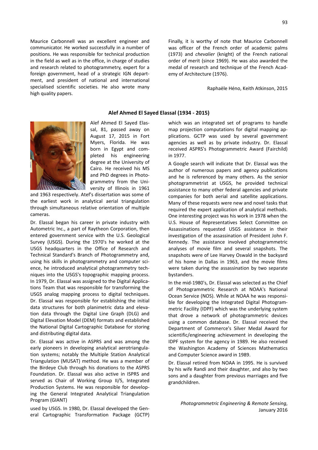Maurice Carbonnell was an excellent engineer and communicator. He worked successfully in a number of positions. He was responsible for technical production in the field as well as in the office, in charge of studies and research related to photogrammetry, expert for a foreign government, head of a strategic IGN department, and president of national and international specialised scientific societies. He also wrote many high quality papers.

Finally, it is worthy of note that Maurice Carbonnell was officer of the French order of academic palms (1973) and *chevalier* (knight) of the French national order of merit (since 1969). He was also awarded the medal of research and technique of the French Academy of Architecture (1976).

Raphaële Héno, Keith Atkinson, 2015

### **Alef Ahmed El Sayed Elassal (1934 - 2015)**



Alef Ahmed El Sayed Elassal, 81, passed away on August 17, 2015 in Fort Myers, Florida. He was born in Egypt and completed his engineering degree at the University of Cairo. He received his MS and PhD degrees in Photogrammetry from the University of Illinois in 1961

and 1963 respectively. Atef's dissertation was some of the earliest work in analytical aerial triangulation through simultaneous relative orientation of multiple cameras.

Dr. Elassal began his career in private industry with Autometric Inc., a part of Raytheon Corporation, then entered government service with the U.S. Geological Survey (USGS). During the 1970's he worked at the USGS headquarters in the Office of Research and Technical Standard's Branch of Photogrammetry and, using his skills in photogrammetry and computer science, he introduced analytical photogrammetry techniques into the USGS's topographic mapping process. In 1979, Dr. Elassal was assigned to the Digital Applications Team that was responsible for transforming the USGS analog mapping process to digital techniques. Dr. Elassal was responsible for establishing the initial data structures for both planimetric data and elevation data through the Digital Line Graph (DLG) and Digital Elevation Model (DEM) formats and established the National Digital Cartographic Database for storing and distributing digital data.

Dr. Elassal was active in ASPRS and was among the early pioneers in developing analytical aerotriangulation systems; notably the Multiple Station Analytical Triangulation (MUSAT) method. He was a member of the Birdeye Club through his donations to the ASPRS Foundation. Dr. Elassal was also active in ISPRS and served as Chair of Working Group II/5, Integrated Production Systems. He was responsible for developing the General Integrated Analytical Triangulation Program (GIANT)

used by USGS. In 1980, Dr. Elassal developed the General Cartographic Transformation Package (GCTP)

which was an integrated set of programs to handle map projection computations for digital mapping applications. GCTP was used by several government agencies as well as by private industry. Dr. Elassal received ASPRS's Photogrammetric Award (Fairchild) in 1977.

A Google search will indicate that Dr. Elassal was the author of numerous papers and agency publications and he is referenced by many others. As the senior photogrammetrist at USGS, he provided technical assistance to many other federal agencies and private companies for both aerial and satellite applications. Many of these requests were new and novel tasks that required the expert application of analytical methods. One interesting project was his work in 1978 when the U.S. House of Representatives Select Committee on Assassinations requested USGS assistance in their investigation of the assassination of President John F. Kennedy. The assistance involved photogrammetric analyses of movie film and several snapshots. The snapshots were of Lee Harvey Oswald in the backyard of his home in Dallas in 1963, and the movie films were taken during the assassination by two separate bystanders.

In the mid-1980's, Dr. Elassal was selected as the Chief of Photogrammetric Research at NOAA's National Ocean Service (NOS). While at NOAA he was responsible for developing the Integrated Digital Photogrammetric Facility (IDPF) which was the underlying system that drove a network of photogrammetric devices using a common database. Dr. Elassal received the Department of Commerce's Silver Medal Award for scientific/engineering achievement in developing the IDPF system for the agency in 1989. He also received the Washington Academy of Sciences Mathematics and Computer Science award in 1989.

Dr. Elassal retired from NOAA in 1995. He is survived by his wife Randi and their daughter, and also by two sons and a daughter from previous marriages and five grandchildren.

*Photogrammetric Engineering & Remote Sensing*, January 2016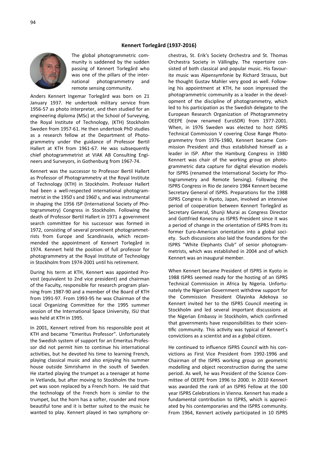

The global photogrammetric community is saddened by the sudden passing of Kennert Torlegård who was one of the pillars of the international photogrammetry and remote sensing community.

Anders Kennert Ingemar Torlegård was born on 21 January 1937. He undertook military service from 1956-57 as photo interpreter, and then studied for an engineering diploma (MSc) at the School of Surveying, the Royal Institute of Technology, (KTH) Stockholm Sweden from 1957-61. He then undertook PhD studies as a research fellow at the Department of Photogrammetry under the guidance of Professor Bertil Hallert at KTH from 1961-67. He was subsequently chief photogrammetrist at VIAK AB Consulting Engineers and Surveyors, in Gothenburg from 1967-74.

Kennert was the successor to Professor Bertil Hallert as Professor of Photogrammetry at the Royal Institute of Technology (KTH) in Stockholm. Professor Hallert had been a well-respected international photogrammetrist in the 1950 ́s and 1960 ́s, and was instrumental in shaping the 1956 ISP (International Society of Photogrammetry) Congress in Stockholm. Following the death of Professor Bertil Hallert in 1971 a government search committee for his successor was formed in 1972, consisting of several prominent photogrammetrists from Europe and Scandinavia, which recommended the appointment of Kennert Torlegård in 1974. Kennert held the position of full professor for photogrammetry at the Royal Institute of Technology in Stockholm from 1974-2001 until his retirement.

During his term at KTH, Kennert was appointed Provost (equivalent to 2nd vice president) and chairman of the Faculty, responsible for research program planning from 1987-90 and a member of the Board of KTH from 1991-97. From 1993-95 he was Chairman of the Local Organizing Committee for the 1995 summer session of the International Space University, ISU that was held at KTH in 1995.

In 2001, Kennert retired from his responsible post at KTH and became "Emeritus Professor". Unfortunately the Swedish system of support for an Emeritus Professor did not permit him to continue his international activities, but he devoted his time to learning French, playing classical music and also enjoying his summer house outside Simrishamn in the south of Sweden. He started playing the trumpet as a teenager at home in Vetlanda, but after moving to Stockholm the trumpet was soon replaced by a French horn. He said that the technology of the French horn is similar to the trumpet, but the horn has a softer, rounder and more beautiful tone and it is better suited to the music he wanted to play. Kennert played in two symphony orchestras, St. Erik's Society Orchestra and St. Thomas Orchestra Society in Vällingby. The repertoire consisted of both classical and popular music. His favourite music was Alpensymfonie by Richard Strauss, but he thought Gustav Mahler very good as well. Following his appointment at KTH, he soon impressed the photogrammetric community as a leader in the development of the discipline of photogrammetry, which led to his participation as the Swedish delegate to the European Research Organization of Photogrammetry OEEPE (now renamed EuroSDR) from 1977-2001. When, in 1976 Sweden was elected to host ISPRS Technical Commission V covering Close Range Photogrammetry from 1976-1980, Kennert became Commission President and thus established himself as a leader in ISP. After the Hamburg Congress in 1980 Kennert was chair of the working group on photogrammetric data capture for digital elevation models for ISPRS (renamed the International Society for Photogrammetry and Remote Sensing). Following the ISPRS Congress in Rio de Janeiro 1984 Kennert became Secretary General of ISPRS. Preparations for the 1988 ISPRS Congress in Kyoto, Japan, involved an intensive period of cooperation between Kennert Torlegård as Secretary General, Shunji Murai as Congress Director and Gottfried Konecny as ISPRS President since it was a period of change in the orientation of ISPRS from its former Euro-American orientation into a global society. Such discussions also laid the foundations for the ISPRS "White Elephants Club" of senior photogrammetrists, which was established in 2004 and of which Kennert was an inaugural member.

When Kennert became President of ISPRS in Kyoto in 1988 ISPRS seemed ready for the hosting of an ISPRS Technical Commission in Africa by Nigeria. Unfortunately the Nigerian Government withdrew support for the Commission President Olayinka Adekoya so Kennert invited her to the ISPRS Council meeting in Stockholm and led several important discussions at the Nigerian Embassy in Stockholm, which confirmed that governments have responsibilities to their scien tific community. This activity was typical of Kennert's convictions as a scientist and as a global citizen.

He continued to influence ISPRS Council with his convictions as First Vice President from 1992-1996 and Chairman of the ISPRS working group on geometric modelling and object reconstruction during the same period. As well, he was President of the Science Committee of OEEPE from 1996 to 2000. In 2010 Kennert was awarded the rank of an ISPRS Fellow at the 100 year ISPRS Celebrations in Vienna. Kennert has made a fundamental contribution to ISPRS, which is appreciated by his contemporaries and the ISPRS community. From 1964, Kennert actively participated in 10 ISPRS